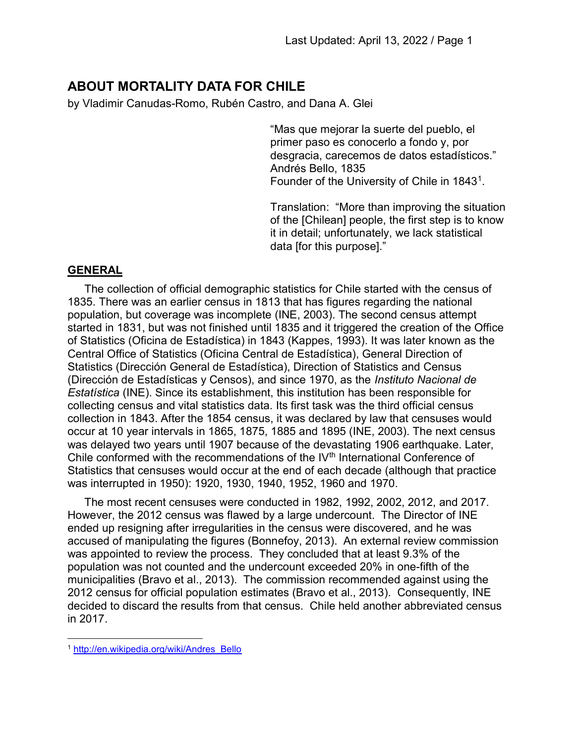# ABOUT MORTALITY DATA FOR CHILE

by Vladimir Canudas-Romo, Rubén Castro, and Dana A. Glei

"Mas que mejorar la suerte del pueblo, el primer paso es conocerlo a fondo y, por desgracia, carecemos de datos estadísticos." Andrés Bello, 1835 Founder of the University of Chile in 1843<sup>1</sup>.

Translation: "More than improving the situation of the [Chilean] people, the first step is to know it in detail; unfortunately, we lack statistical data [for this purpose]."

## GENERAL

The collection of official demographic statistics for Chile started with the census of 1835. There was an earlier census in 1813 that has figures regarding the national population, but coverage was incomplete (INE, 2003). The second census attempt started in 1831, but was not finished until 1835 and it triggered the creation of the Office of Statistics (Oficina de Estadística) in 1843 (Kappes, 1993). It was later known as the Central Office of Statistics (Oficina Central de Estadística), General Direction of Statistics (Dirección General de Estadística), Direction of Statistics and Census (Dirección de Estadísticas y Censos), and since 1970, as the Instituto Nacional de Estatística (INE). Since its establishment, this institution has been responsible for collecting census and vital statistics data. Its first task was the third official census collection in 1843. After the 1854 census, it was declared by law that censuses would occur at 10 year intervals in 1865, 1875, 1885 and 1895 (INE, 2003). The next census was delayed two years until 1907 because of the devastating 1906 earthquake. Later, Chile conformed with the recommendations of the IV<sup>th</sup> International Conference of Statistics that censuses would occur at the end of each decade (although that practice was interrupted in 1950): 1920, 1930, 1940, 1952, 1960 and 1970.

The most recent censuses were conducted in 1982, 1992, 2002, 2012, and 2017. However, the 2012 census was flawed by a large undercount. The Director of INE ended up resigning after irregularities in the census were discovered, and he was accused of manipulating the figures (Bonnefoy, 2013). An external review commission was appointed to review the process. They concluded that at least 9.3% of the population was not counted and the undercount exceeded 20% in one-fifth of the municipalities (Bravo et al., 2013). The commission recommended against using the 2012 census for official population estimates (Bravo et al., 2013). Consequently, INE decided to discard the results from that census. Chile held another abbreviated census in 2017.

 $\overline{a}$ 

<sup>1</sup> http://en.wikipedia.org/wiki/Andres\_Bello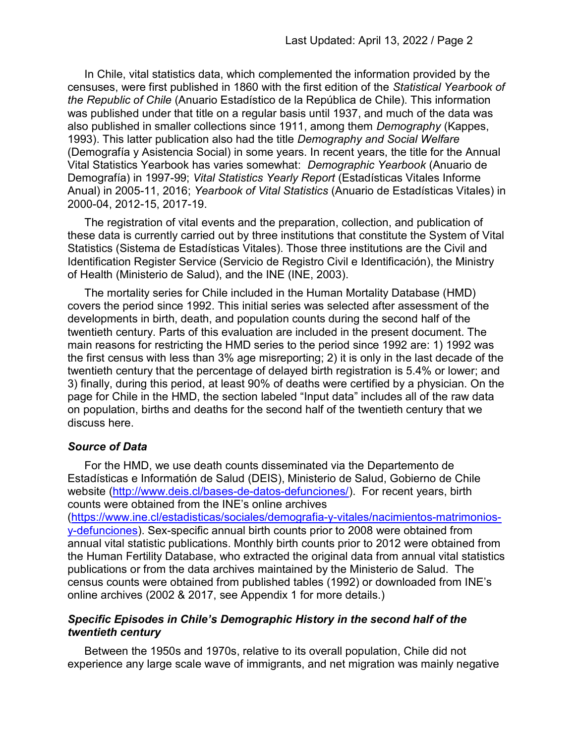In Chile, vital statistics data, which complemented the information provided by the censuses, were first published in 1860 with the first edition of the Statistical Yearbook of the Republic of Chile (Anuario Estadístico de la República de Chile). This information was published under that title on a regular basis until 1937, and much of the data was also published in smaller collections since 1911, among them Demography (Kappes, 1993). This latter publication also had the title Demography and Social Welfare (Demografía y Asistencia Social) in some years. In recent years, the title for the Annual Vital Statistics Yearbook has varies somewhat: Demographic Yearbook (Anuario de Demografía) in 1997-99; Vital Statistics Yearly Report (Estadísticas Vitales Informe Anual) in 2005-11, 2016; Yearbook of Vital Statistics (Anuario de Estadísticas Vitales) in 2000-04, 2012-15, 2017-19.

The registration of vital events and the preparation, collection, and publication of these data is currently carried out by three institutions that constitute the System of Vital Statistics (Sistema de Estadísticas Vitales). Those three institutions are the Civil and Identification Register Service (Servicio de Registro Civil e Identificación), the Ministry of Health (Ministerio de Salud), and the INE (INE, 2003).

The mortality series for Chile included in the Human Mortality Database (HMD) covers the period since 1992. This initial series was selected after assessment of the developments in birth, death, and population counts during the second half of the twentieth century. Parts of this evaluation are included in the present document. The main reasons for restricting the HMD series to the period since 1992 are: 1) 1992 was the first census with less than 3% age misreporting; 2) it is only in the last decade of the twentieth century that the percentage of delayed birth registration is 5.4% or lower; and 3) finally, during this period, at least 90% of deaths were certified by a physician. On the page for Chile in the HMD, the section labeled "Input data" includes all of the raw data on population, births and deaths for the second half of the twentieth century that we discuss here.

#### Source of Data

For the HMD, we use death counts disseminated via the Departemento de Estadísticas e Informatión de Salud (DEIS), Ministerio de Salud, Gobierno de Chile website (http://www.deis.cl/bases-de-datos-defunciones/). For recent years, birth counts were obtained from the INE's online archives

(https://www.ine.cl/estadisticas/sociales/demografia-y-vitales/nacimientos-matrimoniosy-defunciones). Sex-specific annual birth counts prior to 2008 were obtained from annual vital statistic publications. Monthly birth counts prior to 2012 were obtained from the Human Fertility Database, who extracted the original data from annual vital statistics publications or from the data archives maintained by the Ministerio de Salud. The census counts were obtained from published tables (1992) or downloaded from INE's online archives (2002 & 2017, see Appendix 1 for more details.)

#### Specific Episodes in Chile's Demographic History in the second half of the twentieth century

Between the 1950s and 1970s, relative to its overall population, Chile did not experience any large scale wave of immigrants, and net migration was mainly negative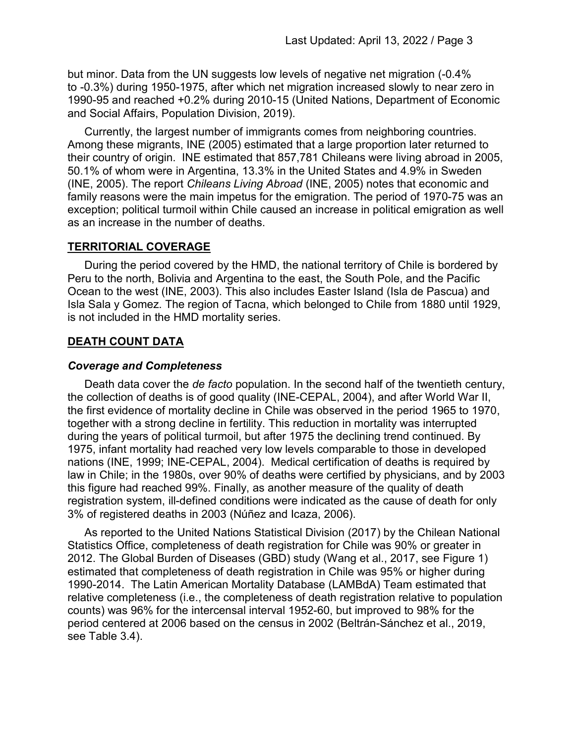but minor. Data from the UN suggests low levels of negative net migration (-0.4% to -0.3%) during 1950-1975, after which net migration increased slowly to near zero in 1990-95 and reached +0.2% during 2010-15 (United Nations, Department of Economic and Social Affairs, Population Division, 2019).

Currently, the largest number of immigrants comes from neighboring countries. Among these migrants, INE (2005) estimated that a large proportion later returned to their country of origin. INE estimated that 857,781 Chileans were living abroad in 2005, 50.1% of whom were in Argentina, 13.3% in the United States and 4.9% in Sweden (INE, 2005). The report Chileans Living Abroad (INE, 2005) notes that economic and family reasons were the main impetus for the emigration. The period of 1970-75 was an exception; political turmoil within Chile caused an increase in political emigration as well as an increase in the number of deaths.

## TERRITORIAL COVERAGE

During the period covered by the HMD, the national territory of Chile is bordered by Peru to the north, Bolivia and Argentina to the east, the South Pole, and the Pacific Ocean to the west (INE, 2003). This also includes Easter Island (Isla de Pascua) and Isla Sala y Gomez. The region of Tacna, which belonged to Chile from 1880 until 1929, is not included in the HMD mortality series.

## DEATH COUNT DATA

#### Coverage and Completeness

Death data cover the *de facto* population. In the second half of the twentieth century, the collection of deaths is of good quality (INE-CEPAL, 2004), and after World War II, the first evidence of mortality decline in Chile was observed in the period 1965 to 1970, together with a strong decline in fertility. This reduction in mortality was interrupted during the years of political turmoil, but after 1975 the declining trend continued. By 1975, infant mortality had reached very low levels comparable to those in developed nations (INE, 1999; INE-CEPAL, 2004). Medical certification of deaths is required by law in Chile; in the 1980s, over 90% of deaths were certified by physicians, and by 2003 this figure had reached 99%. Finally, as another measure of the quality of death registration system, ill-defined conditions were indicated as the cause of death for only 3% of registered deaths in 2003 (Núñez and Icaza, 2006).

As reported to the United Nations Statistical Division (2017) by the Chilean National Statistics Office, completeness of death registration for Chile was 90% or greater in 2012. The Global Burden of Diseases (GBD) study (Wang et al., 2017, see Figure 1) estimated that completeness of death registration in Chile was 95% or higher during 1990-2014. The Latin American Mortality Database (LAMBdA) Team estimated that relative completeness (i.e., the completeness of death registration relative to population counts) was 96% for the intercensal interval 1952-60, but improved to 98% for the period centered at 2006 based on the census in 2002 (Beltrán-Sánchez et al., 2019, see Table 3.4).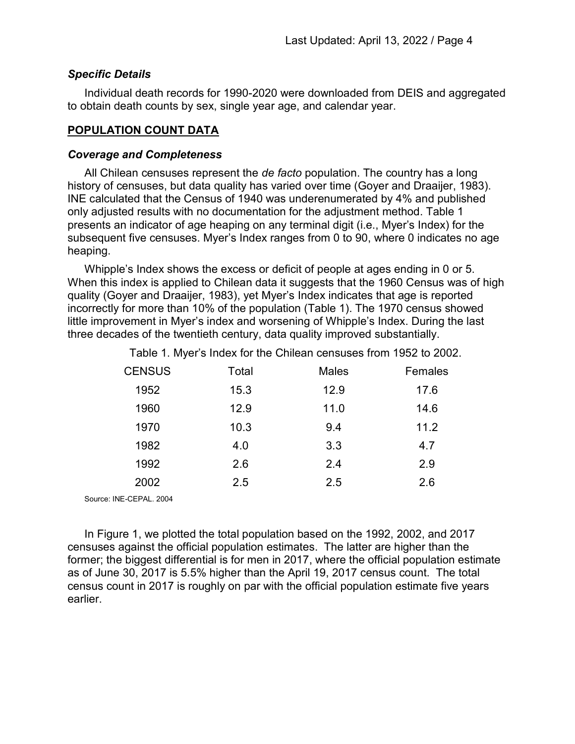#### Specific Details

Individual death records for 1990-2020 were downloaded from DEIS and aggregated to obtain death counts by sex, single year age, and calendar year.

### POPULATION COUNT DATA

#### Coverage and Completeness

All Chilean censuses represent the *de facto* population. The country has a long history of censuses, but data quality has varied over time (Goyer and Draaijer, 1983). INE calculated that the Census of 1940 was underenumerated by 4% and published only adjusted results with no documentation for the adjustment method. Table 1 presents an indicator of age heaping on any terminal digit (i.e., Myer's Index) for the subsequent five censuses. Myer's Index ranges from 0 to 90, where 0 indicates no age heaping.

Whipple's Index shows the excess or deficit of people at ages ending in 0 or 5. When this index is applied to Chilean data it suggests that the 1960 Census was of high quality (Goyer and Draaijer, 1983), yet Myer's Index indicates that age is reported incorrectly for more than 10% of the population (Table 1). The 1970 census showed little improvement in Myer's index and worsening of Whipple's Index. During the last three decades of the twentieth century, data quality improved substantially.

Table 1. Myer's Index for the Chilean censuses from 1952 to 2002.

| <b>CENSUS</b> | Total | <b>Males</b> | Females |
|---------------|-------|--------------|---------|
| 1952          | 15.3  | 12.9         | 17.6    |
| 1960          | 12.9  | 11.0         | 14.6    |
| 1970          | 10.3  | 9.4          | 11.2    |
| 1982          | 4.0   | 3.3          | 4.7     |
| 1992          | 2.6   | 2.4          | 2.9     |
| 2002          | 2.5   | 2.5          | 2.6     |
|               |       |              |         |

Source: INE-CEPAL. 2004

In Figure 1, we plotted the total population based on the 1992, 2002, and 2017 censuses against the official population estimates. The latter are higher than the former; the biggest differential is for men in 2017, where the official population estimate as of June 30, 2017 is 5.5% higher than the April 19, 2017 census count. The total census count in 2017 is roughly on par with the official population estimate five years earlier.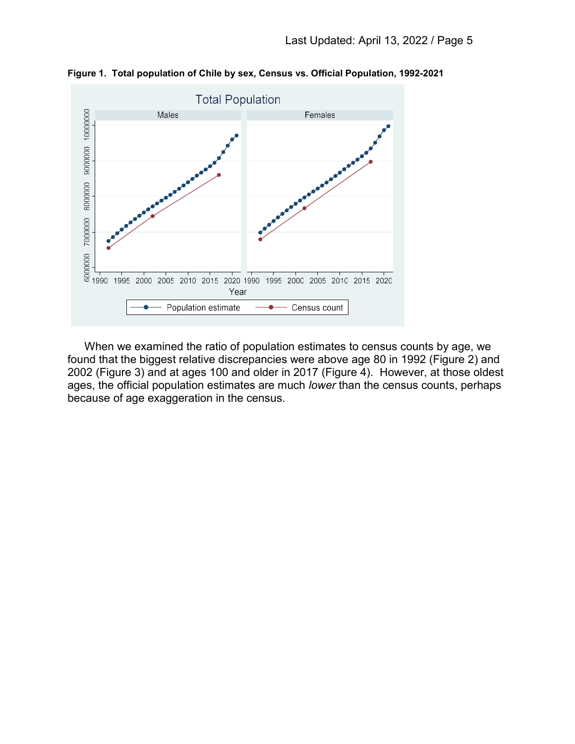

Figure 1. Total population of Chile by sex, Census vs. Official Population, 1992-2021

When we examined the ratio of population estimates to census counts by age, we found that the biggest relative discrepancies were above age 80 in 1992 (Figure 2) and 2002 (Figure 3) and at ages 100 and older in 2017 (Figure 4). However, at those oldest ages, the official population estimates are much lower than the census counts, perhaps because of age exaggeration in the census.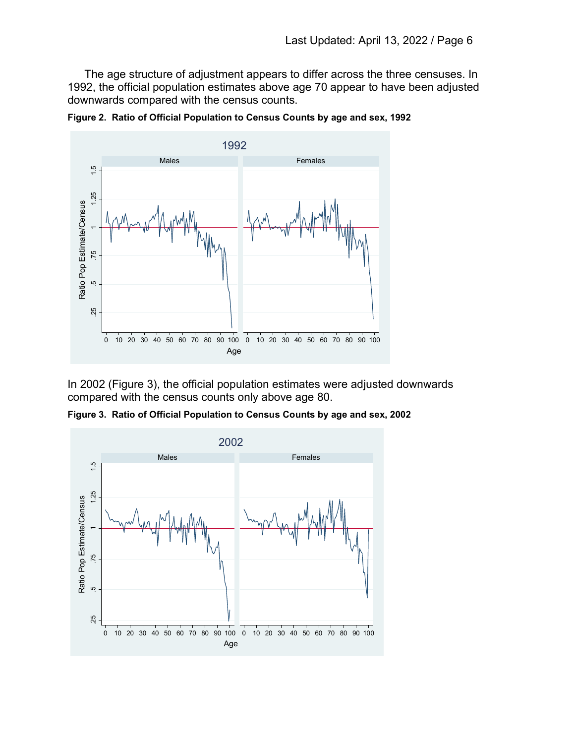The age structure of adjustment appears to differ across the three censuses. In 1992, the official population estimates above age 70 appear to have been adjusted downwards compared with the census counts.





In 2002 (Figure 3), the official population estimates were adjusted downwards compared with the census counts only above age 80.

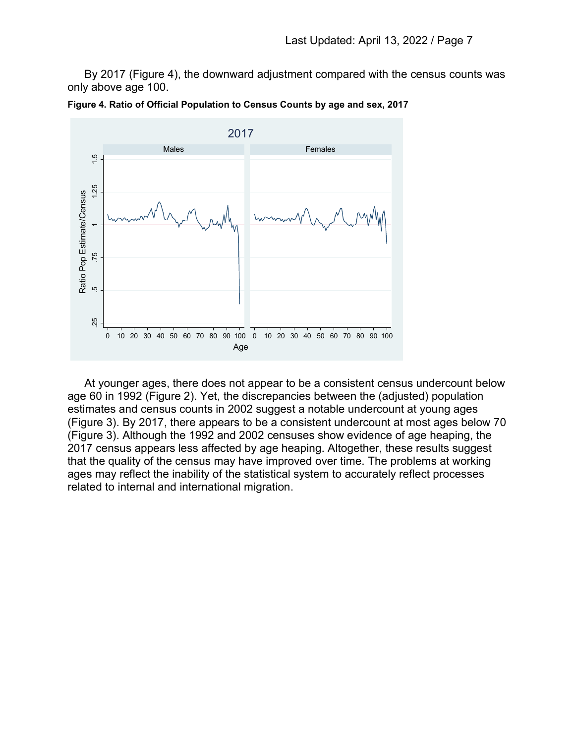By 2017 (Figure 4), the downward adjustment compared with the census counts was only above age 100.



Figure 4. Ratio of Official Population to Census Counts by age and sex, 2017

At younger ages, there does not appear to be a consistent census undercount below age 60 in 1992 (Figure 2). Yet, the discrepancies between the (adjusted) population estimates and census counts in 2002 suggest a notable undercount at young ages (Figure 3). By 2017, there appears to be a consistent undercount at most ages below 70 (Figure 3). Although the 1992 and 2002 censuses show evidence of age heaping, the 2017 census appears less affected by age heaping. Altogether, these results suggest that the quality of the census may have improved over time. The problems at working ages may reflect the inability of the statistical system to accurately reflect processes related to internal and international migration.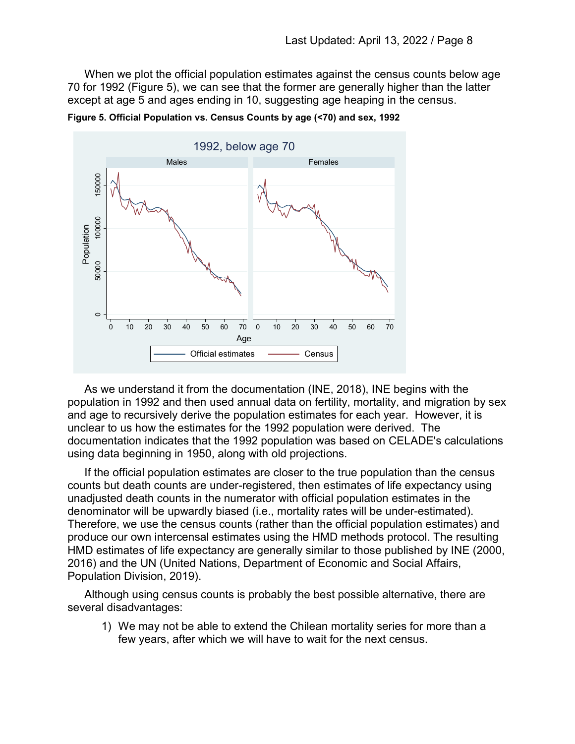When we plot the official population estimates against the census counts below age 70 for 1992 (Figure 5), we can see that the former are generally higher than the latter except at age 5 and ages ending in 10, suggesting age heaping in the census.



Figure 5. Official Population vs. Census Counts by age (<70) and sex, 1992

As we understand it from the documentation (INE, 2018), INE begins with the population in 1992 and then used annual data on fertility, mortality, and migration by sex and age to recursively derive the population estimates for each year. However, it is unclear to us how the estimates for the 1992 population were derived. The documentation indicates that the 1992 population was based on CELADE's calculations using data beginning in 1950, along with old projections.

If the official population estimates are closer to the true population than the census counts but death counts are under-registered, then estimates of life expectancy using unadjusted death counts in the numerator with official population estimates in the denominator will be upwardly biased (i.e., mortality rates will be under-estimated). Therefore, we use the census counts (rather than the official population estimates) and produce our own intercensal estimates using the HMD methods protocol. The resulting HMD estimates of life expectancy are generally similar to those published by INE (2000, 2016) and the UN (United Nations, Department of Economic and Social Affairs, Population Division, 2019).

Although using census counts is probably the best possible alternative, there are several disadvantages:

1) We may not be able to extend the Chilean mortality series for more than a few years, after which we will have to wait for the next census.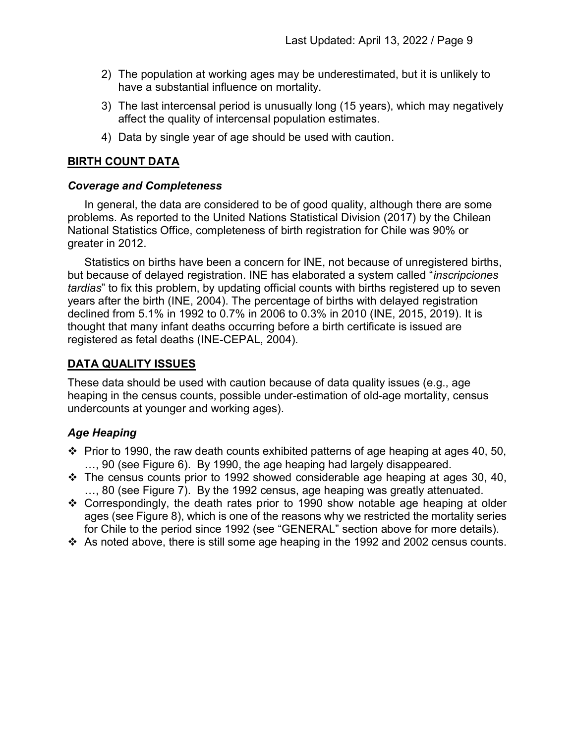- 2) The population at working ages may be underestimated, but it is unlikely to have a substantial influence on mortality.
- 3) The last intercensal period is unusually long (15 years), which may negatively affect the quality of intercensal population estimates.
- 4) Data by single year of age should be used with caution.

# BIRTH COUNT DATA

## Coverage and Completeness

In general, the data are considered to be of good quality, although there are some problems. As reported to the United Nations Statistical Division (2017) by the Chilean National Statistics Office, completeness of birth registration for Chile was 90% or greater in 2012.

Statistics on births have been a concern for INE, not because of unregistered births, but because of delayed registration. INE has elaborated a system called "*inscripciones* tardias" to fix this problem, by updating official counts with births registered up to seven years after the birth (INE, 2004). The percentage of births with delayed registration declined from 5.1% in 1992 to 0.7% in 2006 to 0.3% in 2010 (INE, 2015, 2019). It is thought that many infant deaths occurring before a birth certificate is issued are registered as fetal deaths (INE-CEPAL, 2004).

# DATA QUALITY ISSUES

These data should be used with caution because of data quality issues (e.g., age heaping in the census counts, possible under-estimation of old-age mortality, census undercounts at younger and working ages).

# Age Heaping

- $\div$  Prior to 1990, the raw death counts exhibited patterns of age heaping at ages 40, 50, …, 90 (see Figure 6). By 1990, the age heaping had largely disappeared.
- $\div$  The census counts prior to 1992 showed considerable age heaping at ages 30, 40, …, 80 (see Figure 7). By the 1992 census, age heaping was greatly attenuated.
- $\div$  Correspondingly, the death rates prior to 1990 show notable age heaping at older ages (see Figure 8), which is one of the reasons why we restricted the mortality series for Chile to the period since 1992 (see "GENERAL" section above for more details).
- $\cdot$  As noted above, there is still some age heaping in the 1992 and 2002 census counts.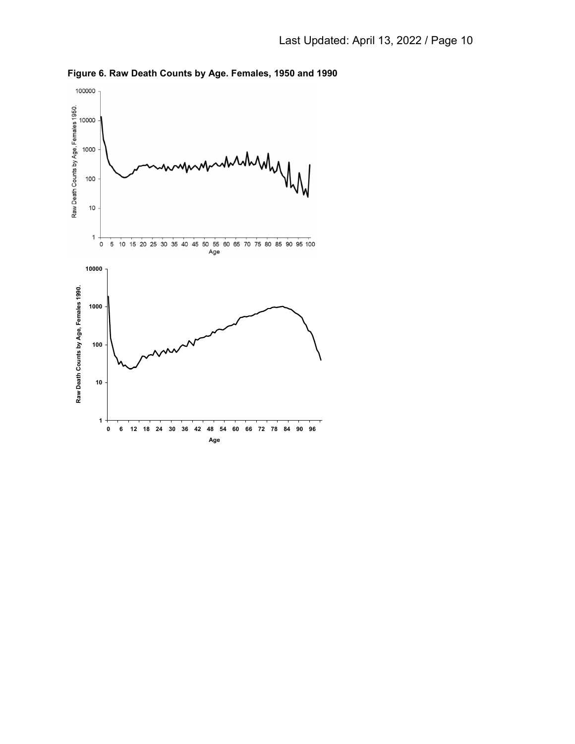

Figure 6. Raw Death Counts by Age. Females, 1950 and 1990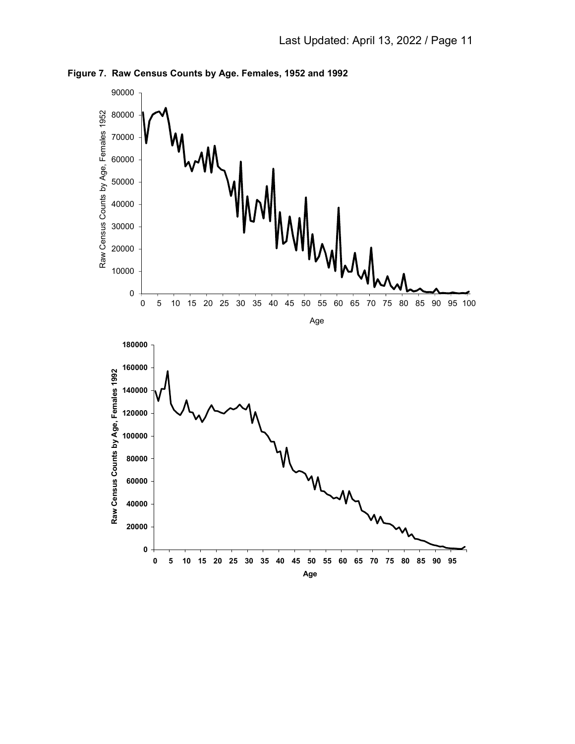

Figure 7. Raw Census Counts by Age. Females, 1952 and 1992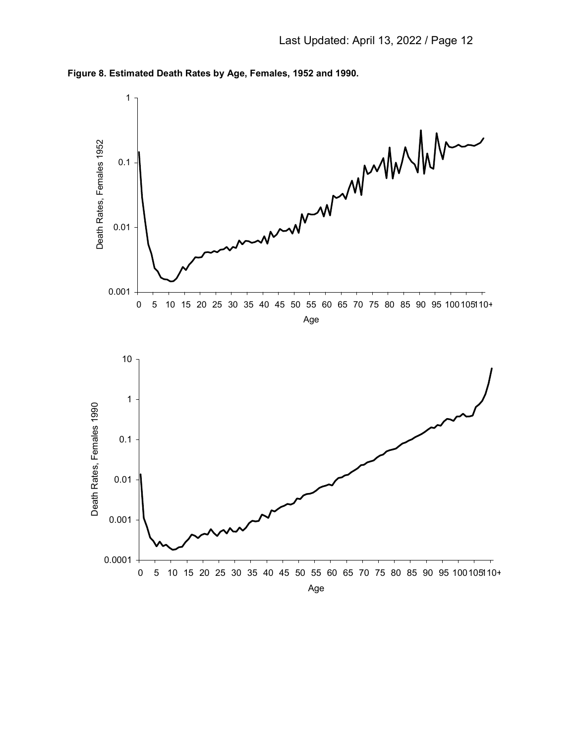

Figure 8. Estimated Death Rates by Age, Females, 1952 and 1990.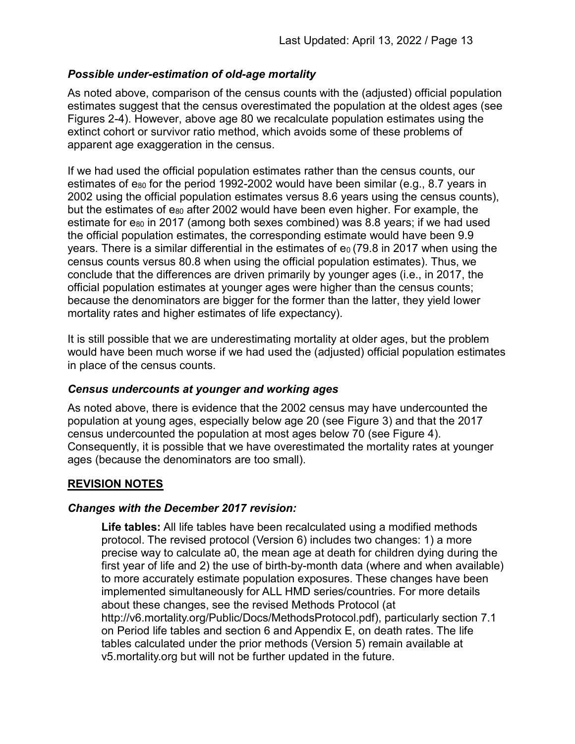## Possible under-estimation of old-age mortality

As noted above, comparison of the census counts with the (adjusted) official population estimates suggest that the census overestimated the population at the oldest ages (see Figures 2-4). However, above age 80 we recalculate population estimates using the extinct cohort or survivor ratio method, which avoids some of these problems of apparent age exaggeration in the census.

If we had used the official population estimates rather than the census counts, our estimates of  $e_{80}$  for the period 1992-2002 would have been similar (e.g., 8.7 years in 2002 using the official population estimates versus 8.6 years using the census counts), but the estimates of  $e_{80}$  after 2002 would have been even higher. For example, the estimate for e<sub>80</sub> in 2017 (among both sexes combined) was 8.8 years; if we had used the official population estimates, the corresponding estimate would have been 9.9 years. There is a similar differential in the estimates of  $e_0$  (79.8 in 2017 when using the census counts versus 80.8 when using the official population estimates). Thus, we conclude that the differences are driven primarily by younger ages (i.e., in 2017, the official population estimates at younger ages were higher than the census counts; because the denominators are bigger for the former than the latter, they yield lower mortality rates and higher estimates of life expectancy).

It is still possible that we are underestimating mortality at older ages, but the problem would have been much worse if we had used the (adjusted) official population estimates in place of the census counts.

#### Census undercounts at younger and working ages

As noted above, there is evidence that the 2002 census may have undercounted the population at young ages, especially below age 20 (see Figure 3) and that the 2017 census undercounted the population at most ages below 70 (see Figure 4). Consequently, it is possible that we have overestimated the mortality rates at younger ages (because the denominators are too small).

# REVISION NOTES

#### Changes with the December 2017 revision:

Life tables: All life tables have been recalculated using a modified methods protocol. The revised protocol (Version 6) includes two changes: 1) a more precise way to calculate a0, the mean age at death for children dying during the first year of life and 2) the use of birth-by-month data (where and when available) to more accurately estimate population exposures. These changes have been implemented simultaneously for ALL HMD series/countries. For more details about these changes, see the revised Methods Protocol (at http://v6.mortality.org/Public/Docs/MethodsProtocol.pdf), particularly section 7.1 on Period life tables and section 6 and Appendix E, on death rates. The life tables calculated under the prior methods (Version 5) remain available at v5.mortality.org but will not be further updated in the future.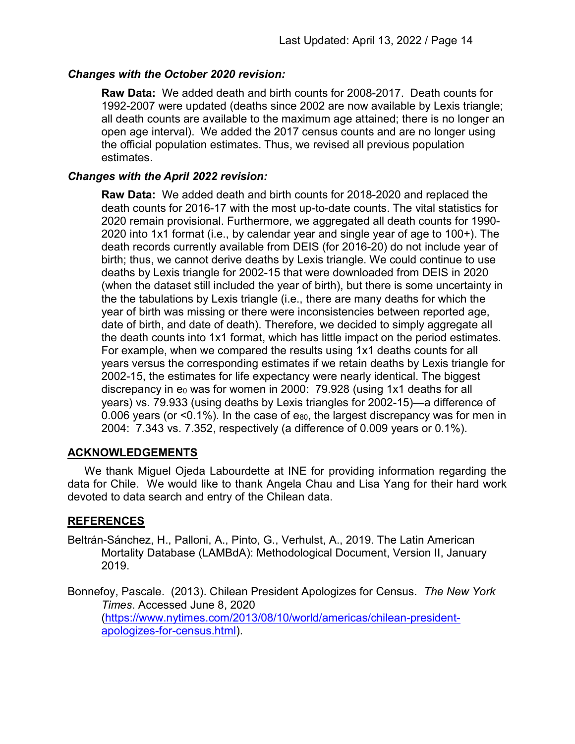## Changes with the October 2020 revision:

Raw Data: We added death and birth counts for 2008-2017. Death counts for 1992-2007 were updated (deaths since 2002 are now available by Lexis triangle; all death counts are available to the maximum age attained; there is no longer an open age interval). We added the 2017 census counts and are no longer using the official population estimates. Thus, we revised all previous population estimates.

## Changes with the April 2022 revision:

Raw Data: We added death and birth counts for 2018-2020 and replaced the death counts for 2016-17 with the most up-to-date counts. The vital statistics for 2020 remain provisional. Furthermore, we aggregated all death counts for 1990- 2020 into 1x1 format (i.e., by calendar year and single year of age to 100+). The death records currently available from DEIS (for 2016-20) do not include year of birth; thus, we cannot derive deaths by Lexis triangle. We could continue to use deaths by Lexis triangle for 2002-15 that were downloaded from DEIS in 2020 (when the dataset still included the year of birth), but there is some uncertainty in the the tabulations by Lexis triangle (i.e., there are many deaths for which the year of birth was missing or there were inconsistencies between reported age, date of birth, and date of death). Therefore, we decided to simply aggregate all the death counts into 1x1 format, which has little impact on the period estimates. For example, when we compared the results using 1x1 deaths counts for all years versus the corresponding estimates if we retain deaths by Lexis triangle for 2002-15, the estimates for life expectancy were nearly identical. The biggest discrepancy in  $e_0$  was for women in 2000: 79.928 (using 1x1 deaths for all years) vs. 79.933 (using deaths by Lexis triangles for 2002-15)—a difference of 0.006 years (or  $\leq$ 0.1%). In the case of e<sub>80</sub>, the largest discrepancy was for men in 2004: 7.343 vs. 7.352, respectively (a difference of 0.009 years or 0.1%).

#### ACKNOWLEDGEMENTS

We thank Miguel Ojeda Labourdette at INE for providing information regarding the data for Chile. We would like to thank Angela Chau and Lisa Yang for their hard work devoted to data search and entry of the Chilean data.

# REFERENCES

Beltrán-Sánchez, H., Palloni, A., Pinto, G., Verhulst, A., 2019. The Latin American Mortality Database (LAMBdA): Methodological Document, Version II, January 2019.

Bonnefoy, Pascale. (2013). Chilean President Apologizes for Census. The New York Times. Accessed June 8, 2020 (https://www.nytimes.com/2013/08/10/world/americas/chilean-presidentapologizes-for-census.html).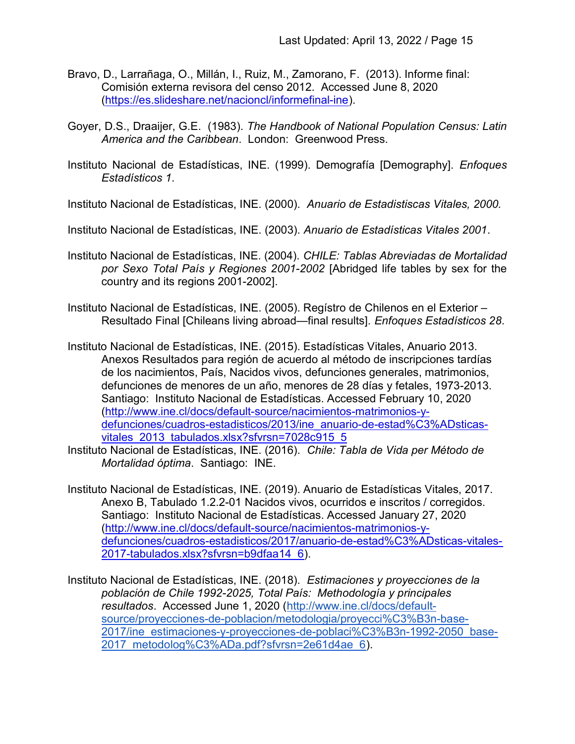- Bravo, D., Larrañaga, O., Millán, I., Ruiz, M., Zamorano, F. (2013). Informe final: Comisión externa revisora del censo 2012. Accessed June 8, 2020 (https://es.slideshare.net/nacioncl/informefinal-ine).
- Goyer, D.S., Draaijer, G.E. (1983). The Handbook of National Population Census: Latin America and the Caribbean. London: Greenwood Press.
- Instituto Nacional de Estadísticas, INE. (1999). Demografía [Demography]. Enfoques Estadísticos 1.

Instituto Nacional de Estadísticas, INE. (2000). Anuario de Estadistiscas Vitales, 2000.

Instituto Nacional de Estadísticas, INE. (2003). Anuario de Estadísticas Vitales 2001.

- Instituto Nacional de Estadísticas, INE. (2004). CHILE: Tablas Abreviadas de Mortalidad por Sexo Total País y Regiones 2001-2002 [Abridged life tables by sex for the country and its regions 2001-2002].
- Instituto Nacional de Estadísticas, INE. (2005). Regístro de Chilenos en el Exterior Resultado Final [Chileans living abroad—final results]. Enfoques Estadísticos 28.
- Instituto Nacional de Estadísticas, INE. (2015). Estadísticas Vitales, Anuario 2013. Anexos Resultados para región de acuerdo al método de inscripciones tardías de los nacimientos, País, Nacidos vivos, defunciones generales, matrimonios, defunciones de menores de un año, menores de 28 días y fetales, 1973-2013. Santiago: Instituto Nacional de Estadísticas. Accessed February 10, 2020 (http://www.ine.cl/docs/default-source/nacimientos-matrimonios-ydefunciones/cuadros-estadisticos/2013/ine\_anuario-de-estad%C3%ADsticasvitales\_2013\_tabulados.xlsx?sfvrsn=7028c915\_5
- Instituto Nacional de Estadísticas, INE. (2016). Chile: Tabla de Vida per Método de Mortalidad óptima. Santiago: INE.
- Instituto Nacional de Estadísticas, INE. (2019). Anuario de Estadísticas Vitales, 2017. Anexo B, Tabulado 1.2.2-01 Nacidos vivos, ocurridos e inscritos / corregidos. Santiago: Instituto Nacional de Estadísticas. Accessed January 27, 2020 (http://www.ine.cl/docs/default-source/nacimientos-matrimonios-ydefunciones/cuadros-estadisticos/2017/anuario-de-estad%C3%ADsticas-vitales-2017-tabulados.xlsx?sfvrsn=b9dfaa14\_6).
- Instituto Nacional de Estadísticas, INE. (2018). Estimaciones y proyecciones de la población de Chile 1992-2025, Total País: Methodología y principales resultados. Accessed June 1, 2020 (http://www.ine.cl/docs/defaultsource/proyecciones-de-poblacion/metodologia/proyecci%C3%B3n-base-2017/ine\_estimaciones-y-proyecciones-de-poblaci%C3%B3n-1992-2050\_base-2017\_metodolog%C3%ADa.pdf?sfvrsn=2e61d4ae\_6).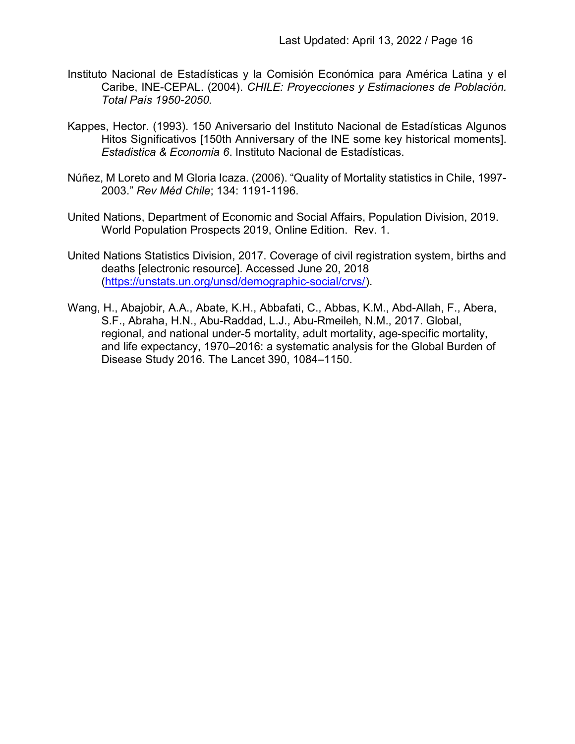- Instituto Nacional de Estadísticas y la Comisión Económica para América Latina y el Caribe, INE-CEPAL. (2004). CHILE: Proyecciones y Estimaciones de Población. Total País 1950-2050.
- Kappes, Hector. (1993). 150 Aniversario del Instituto Nacional de Estadísticas Algunos Hitos Significativos [150th Anniversary of the INE some key historical moments]. Estadistica & Economia 6. Instituto Nacional de Estadísticas.
- Núñez, M Loreto and M Gloria Icaza. (2006). "Quality of Mortality statistics in Chile, 1997- 2003." Rev Méd Chile; 134: 1191-1196.
- United Nations, Department of Economic and Social Affairs, Population Division, 2019. World Population Prospects 2019, Online Edition. Rev. 1.
- United Nations Statistics Division, 2017. Coverage of civil registration system, births and deaths [electronic resource]. Accessed June 20, 2018 (https://unstats.un.org/unsd/demographic-social/crvs/).
- Wang, H., Abajobir, A.A., Abate, K.H., Abbafati, C., Abbas, K.M., Abd-Allah, F., Abera, S.F., Abraha, H.N., Abu-Raddad, L.J., Abu-Rmeileh, N.M., 2017. Global, regional, and national under-5 mortality, adult mortality, age-specific mortality, and life expectancy, 1970–2016: a systematic analysis for the Global Burden of Disease Study 2016. The Lancet 390, 1084–1150.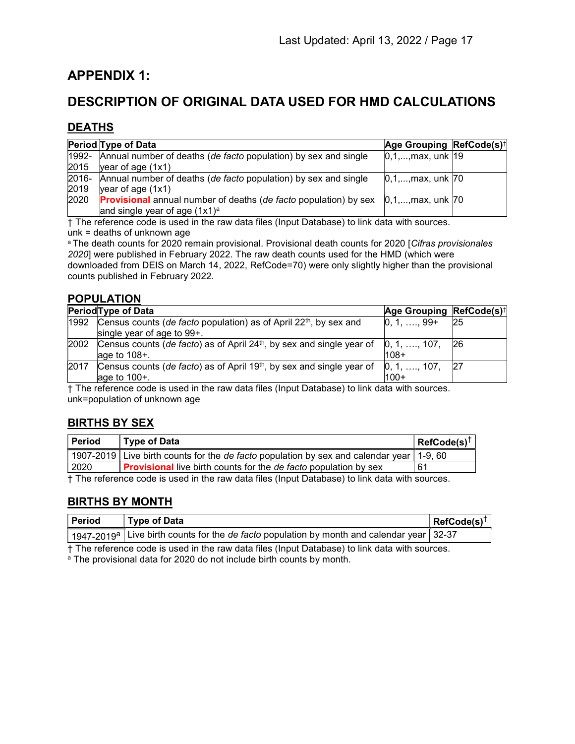# APPENDIX 1:

# DESCRIPTION OF ORIGINAL DATA USED FOR HMD CALCULATIONS

## DEATHS

| Period Type of Data                                                   | Age Grouping RefCode(s) <sup>†</sup> |                                                                                                                            |
|-----------------------------------------------------------------------|--------------------------------------|----------------------------------------------------------------------------------------------------------------------------|
| 1992- Annual number of deaths (de facto population) by sex and single | $[0,1,,max,$ unk $ 19 $              |                                                                                                                            |
| $\gamma$ year of age (1x1)                                            |                                      |                                                                                                                            |
| 2016- Annual number of deaths (de facto population) by sex and single |                                      |                                                                                                                            |
| $\gamma$ year of age $(1x1)$                                          |                                      |                                                                                                                            |
|                                                                       |                                      |                                                                                                                            |
| and single year of age $(1x1)^a$                                      |                                      |                                                                                                                            |
|                                                                       |                                      | $[0,1,,max,$ unk $[70]$<br><b>Provisional</b> annual number of deaths (de facto population) by sex $[0,1,,max,$ unk $[70,$ |

† The reference code is used in the raw data files (Input Database) to link data with sources. unk = deaths of unknown age

<sup>a</sup> The death counts for 2020 remain provisional. Provisional death counts for 2020 [Cifras provisionales 2020] were published in February 2022. The raw death counts used for the HMD (which were downloaded from DEIS on March 14, 2022, RefCode=70) were only slightly higher than the provisional counts published in February 2022.

#### POPULATION

|      | Period Type of Data                                                                                                   | Age Grouping RefCode(s) <sup>†</sup> |    |
|------|-----------------------------------------------------------------------------------------------------------------------|--------------------------------------|----|
| 1992 | Census counts (de facto population) as of April $22th$ , by sex and<br>single year of age to $99+$ .                  | $ 0, 1, \ldots, 99+$                 | 25 |
| 2002 | Census counts (de facto) as of April 24 <sup>th</sup> , by sex and single year of $[0, 1, , 107]$<br>age to $108 +$ . | 108+                                 | 26 |
| 2017 | Census counts (de facto) as of April 19th, by sex and single year of<br>age to 100+.                                  | $0, 1, \ldots, 107,$<br>$100+$       | 27 |

† The reference code is used in the raw data files (Input Database) to link data with sources. unk=population of unknown age

# BIRTHS BY SEX

| Period                                                                                         | Type of Data                                                                                      | RefCode(s) |  |
|------------------------------------------------------------------------------------------------|---------------------------------------------------------------------------------------------------|------------|--|
|                                                                                                | 1907-2019 Live birth counts for the <i>de facto</i> population by sex and calendar year   1-9, 60 |            |  |
| 2020                                                                                           | <b>Provisional</b> live birth counts for the <i>de facto</i> population by sex                    | 61         |  |
| $+$ The reference each is used in the rew data files (lnput Detabose) to link data with equres |                                                                                                   |            |  |

† The reference code is used in the raw data files (Input Database) to link data with sources.

#### BIRTHS BY MONTH

| l Period | Type of Data                                                                                                       | $ $ RefCode(s) <sup>1</sup> |
|----------|--------------------------------------------------------------------------------------------------------------------|-----------------------------|
|          | $^+$ 1947-2019ª Live birth counts for the <i>de facto</i> population by month and calendar year $\sqrt{32\cdot37}$ |                             |

† The reference code is used in the raw data files (Input Database) to link data with sources.

<sup>a</sup> The provisional data for 2020 do not include birth counts by month.